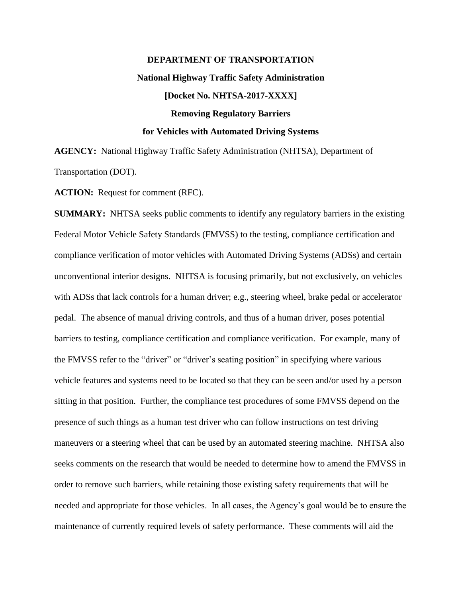# **DEPARTMENT OF TRANSPORTATION National Highway Traffic Safety Administration [Docket No. NHTSA-2017-XXXX] Removing Regulatory Barriers for Vehicles with Automated Driving Systems**

**AGENCY:** National Highway Traffic Safety Administration (NHTSA), Department of Transportation (DOT).

**ACTION:** Request for comment (RFC).

**SUMMARY:** NHTSA seeks public comments to identify any regulatory barriers in the existing Federal Motor Vehicle Safety Standards (FMVSS) to the testing, compliance certification and compliance verification of motor vehicles with Automated Driving Systems (ADSs) and certain unconventional interior designs. NHTSA is focusing primarily, but not exclusively, on vehicles with ADSs that lack controls for a human driver; e.g., steering wheel, brake pedal or accelerator pedal. The absence of manual driving controls, and thus of a human driver, poses potential barriers to testing, compliance certification and compliance verification. For example, many of the FMVSS refer to the "driver" or "driver's seating position" in specifying where various vehicle features and systems need to be located so that they can be seen and/or used by a person sitting in that position. Further, the compliance test procedures of some FMVSS depend on the presence of such things as a human test driver who can follow instructions on test driving maneuvers or a steering wheel that can be used by an automated steering machine. NHTSA also seeks comments on the research that would be needed to determine how to amend the FMVSS in order to remove such barriers, while retaining those existing safety requirements that will be needed and appropriate for those vehicles. In all cases, the Agency's goal would be to ensure the maintenance of currently required levels of safety performance. These comments will aid the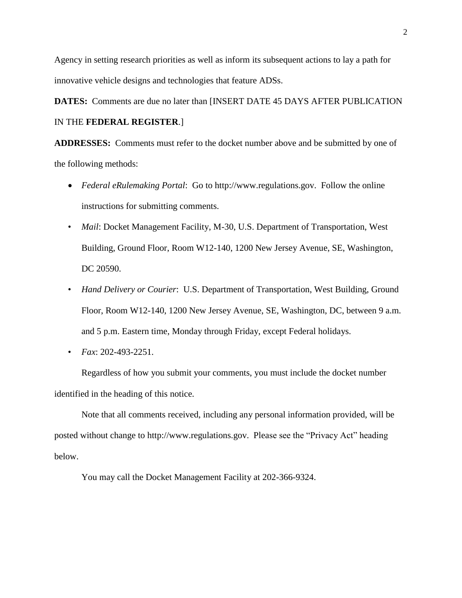Agency in setting research priorities as well as inform its subsequent actions to lay a path for innovative vehicle designs and technologies that feature ADSs.

**DATES:** Comments are due no later than [INSERT DATE 45 DAYS AFTER PUBLICATION

## IN THE **FEDERAL REGISTER**.]

**ADDRESSES:** Comments must refer to the docket number above and be submitted by one of the following methods:

- *Federal eRulemaking Portal*: Go to http://www.regulations.gov. Follow the online instructions for submitting comments.
- *Mail*: Docket Management Facility, M-30, U.S. Department of Transportation, West Building, Ground Floor, Room W12-140, 1200 New Jersey Avenue, SE, Washington, DC 20590.
- *Hand Delivery or Courier*: U.S. Department of Transportation, West Building, Ground Floor, Room W12-140, 1200 New Jersey Avenue, SE, Washington, DC, between 9 a.m. and 5 p.m. Eastern time, Monday through Friday, except Federal holidays.
- *Fax*: 202-493-2251.

Regardless of how you submit your comments, you must include the docket number identified in the heading of this notice.

Note that all comments received, including any personal information provided, will be posted without change to http://www.regulations.gov. Please see the "Privacy Act" heading below.

You may call the Docket Management Facility at 202-366-9324.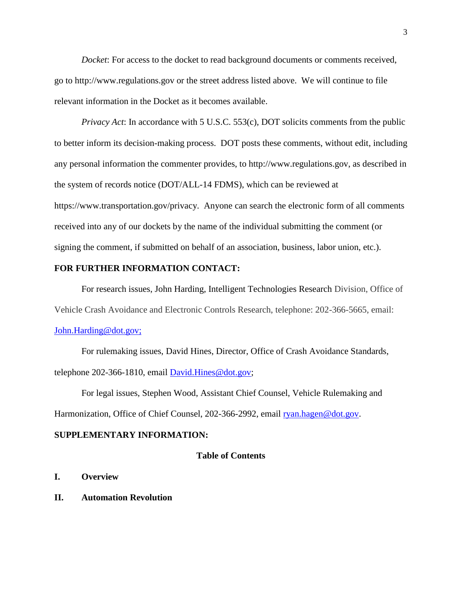*Docket*: For access to the docket to read background documents or comments received, go to http://www.regulations.gov or the street address listed above. We will continue to file relevant information in the Docket as it becomes available.

*Privacy Act*: In accordance with 5 U.S.C. 553(c), DOT solicits comments from the public to better inform its decision-making process. DOT posts these comments, without edit, including any personal information the commenter provides, to http://www.regulations.gov, as described in the system of records notice (DOT/ALL-14 FDMS), which can be reviewed at https://www.transportation.gov/privacy. Anyone can search the electronic form of all comments received into any of our dockets by the name of the individual submitting the comment (or signing the comment, if submitted on behalf of an association, business, labor union, etc.).

### **FOR FURTHER INFORMATION CONTACT:**

For research issues, John Harding, Intelligent Technologies Research Division, Office of Vehicle Crash Avoidance and Electronic Controls Research, telephone: 202-366-5665, email: [John.Harding@dot.gov;](mailto:John.Harding@dot.gov)

For rulemaking issues, David Hines, Director, Office of Crash Avoidance Standards, telephone 202-366-1810, email [David.Hines@dot.gov;](mailto:David.Hines@dot.gov)

For legal issues, Stephen Wood, Assistant Chief Counsel, Vehicle Rulemaking and Harmonization, Office of Chief Counsel, 202-366-2992, email [ryan.hagen@dot.gov.](mailto:ryan.hagen@dot.gov)

#### **SUPPLEMENTARY INFORMATION:**

#### **Table of Contents**

**I. Overview**

**II. Automation Revolution**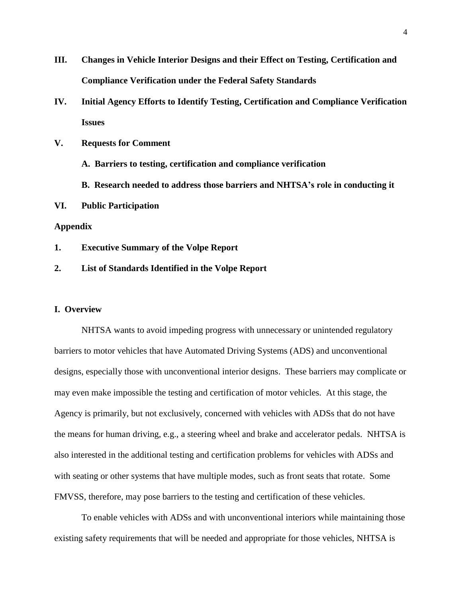- **III. Changes in Vehicle Interior Designs and their Effect on Testing, Certification and Compliance Verification under the Federal Safety Standards**
- **IV. Initial Agency Efforts to Identify Testing, Certification and Compliance Verification Issues**
- **V. Requests for Comment**
	- **A. Barriers to testing, certification and compliance verification**
	- **B. Research needed to address those barriers and NHTSA's role in conducting it**
- **VI. Public Participation**

## **Appendix**

- **1. Executive Summary of the Volpe Report**
- **2. List of Standards Identified in the Volpe Report**

#### **I. Overview**

NHTSA wants to avoid impeding progress with unnecessary or unintended regulatory barriers to motor vehicles that have Automated Driving Systems (ADS) and unconventional designs, especially those with unconventional interior designs. These barriers may complicate or may even make impossible the testing and certification of motor vehicles. At this stage, the Agency is primarily, but not exclusively, concerned with vehicles with ADSs that do not have the means for human driving, e.g., a steering wheel and brake and accelerator pedals. NHTSA is also interested in the additional testing and certification problems for vehicles with ADSs and with seating or other systems that have multiple modes, such as front seats that rotate. Some FMVSS, therefore, may pose barriers to the testing and certification of these vehicles.

To enable vehicles with ADSs and with unconventional interiors while maintaining those existing safety requirements that will be needed and appropriate for those vehicles, NHTSA is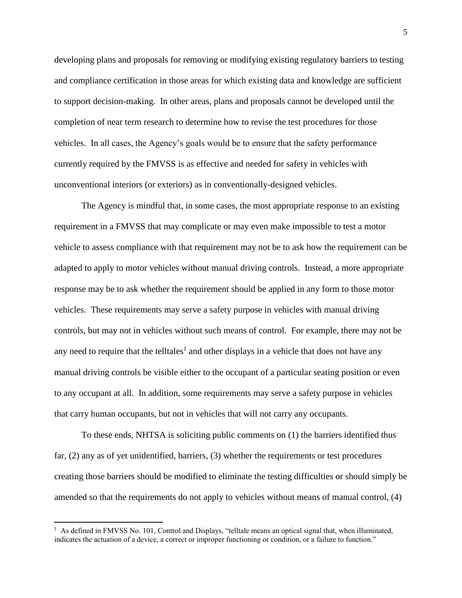developing plans and proposals for removing or modifying existing regulatory barriers to testing and compliance certification in those areas for which existing data and knowledge are sufficient to support decision-making. In other areas, plans and proposals cannot be developed until the completion of near term research to determine how to revise the test procedures for those vehicles. In all cases, the Agency's goals would be to ensure that the safety performance currently required by the FMVSS is as effective and needed for safety in vehicles with unconventional interiors (or exteriors) as in conventionally-designed vehicles.

The Agency is mindful that, in some cases, the most appropriate response to an existing requirement in a FMVSS that may complicate or may even make impossible to test a motor vehicle to assess compliance with that requirement may not be to ask how the requirement can be adapted to apply to motor vehicles without manual driving controls. Instead, a more appropriate response may be to ask whether the requirement should be applied in any form to those motor vehicles. These requirements may serve a safety purpose in vehicles with manual driving controls, but may not in vehicles without such means of control. For example, there may not be any need to require that the telltales<sup>1</sup> and other displays in a vehicle that does not have any manual driving controls be visible either to the occupant of a particular seating position or even to any occupant at all. In addition, some requirements may serve a safety purpose in vehicles that carry human occupants, but not in vehicles that will not carry any occupants.

To these ends, NHTSA is soliciting public comments on (1) the barriers identified thus far, (2) any as of yet unidentified, barriers, (3) whether the requirements or test procedures creating those barriers should be modified to eliminate the testing difficulties or should simply be amended so that the requirements do not apply to vehicles without means of manual control, (4)

 $\overline{a}$ 

<sup>&</sup>lt;sup>1</sup> As defined in FMVSS No. 101, Control and Displays, "telltale means an optical signal that, when illuminated, indicates the actuation of a device, a correct or improper functioning or condition, or a failure to function."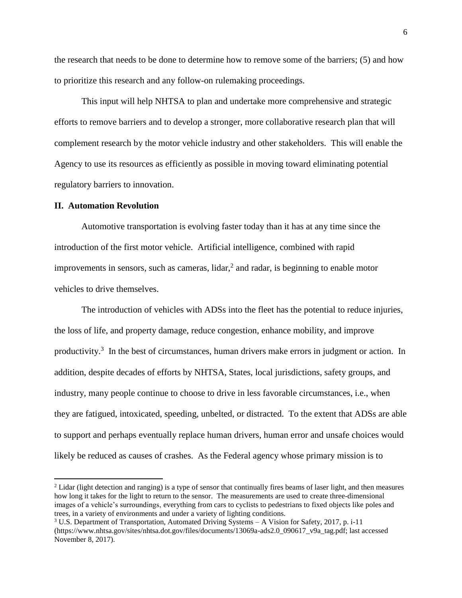the research that needs to be done to determine how to remove some of the barriers; (5) and how to prioritize this research and any follow-on rulemaking proceedings.

This input will help NHTSA to plan and undertake more comprehensive and strategic efforts to remove barriers and to develop a stronger, more collaborative research plan that will complement research by the motor vehicle industry and other stakeholders. This will enable the Agency to use its resources as efficiently as possible in moving toward eliminating potential regulatory barriers to innovation.

#### **II. Automation Revolution**

 $\overline{\phantom{a}}$ 

Automotive transportation is evolving faster today than it has at any time since the introduction of the first motor vehicle. Artificial intelligence, combined with rapid improvements in sensors, such as cameras,  $lidar$ ,  $2$  and radar, is beginning to enable motor vehicles to drive themselves.

The introduction of vehicles with ADSs into the fleet has the potential to reduce injuries, the loss of life, and property damage, reduce congestion, enhance mobility, and improve productivity.<sup>3</sup> In the best of circumstances, human drivers make errors in judgment or action. In addition, despite decades of efforts by NHTSA, States, local jurisdictions, safety groups, and industry, many people continue to choose to drive in less favorable circumstances, i.e., when they are fatigued, intoxicated, speeding, unbelted, or distracted. To the extent that ADSs are able to support and perhaps eventually replace human drivers, human error and unsafe choices would likely be reduced as causes of crashes. As the Federal agency whose primary mission is to

<sup>&</sup>lt;sup>2</sup> Lidar (light detection and ranging) is a type of sensor that continually fires beams of laser light, and then measures how long it takes for the light to return to the sensor. The measurements are used to create three-dimensional images of a vehicle's surroundings, everything from cars to cyclists to pedestrians to fixed objects like poles and trees, in a variety of environments and under a variety of lighting conditions.

<sup>3</sup> U.S. Department of Transportation, Automated Driving Systems – A Vision for Safety, 2017, p. i-11 (https://www.nhtsa.gov/sites/nhtsa.dot.gov/files/documents/13069a-ads2.0\_090617\_v9a\_tag.pdf; last accessed November 8, 2017).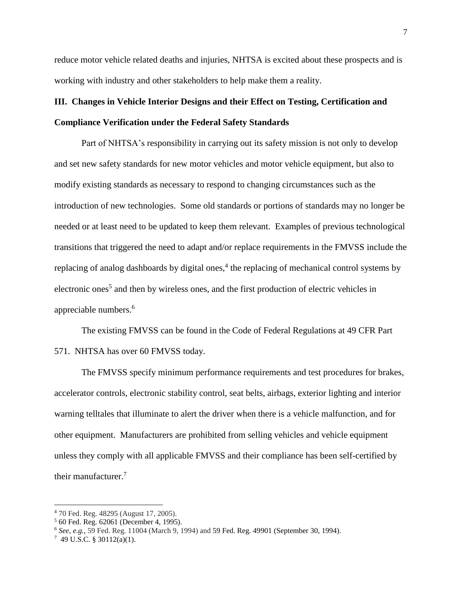reduce motor vehicle related deaths and injuries, NHTSA is excited about these prospects and is working with industry and other stakeholders to help make them a reality.

## **III. Changes in Vehicle Interior Designs and their Effect on Testing, Certification and Compliance Verification under the Federal Safety Standards**

Part of NHTSA's responsibility in carrying out its safety mission is not only to develop and set new safety standards for new motor vehicles and motor vehicle equipment, but also to modify existing standards as necessary to respond to changing circumstances such as the introduction of new technologies. Some old standards or portions of standards may no longer be needed or at least need to be updated to keep them relevant. Examples of previous technological transitions that triggered the need to adapt and/or replace requirements in the FMVSS include the replacing of analog dashboards by digital ones,<sup>4</sup> the replacing of mechanical control systems by electronic ones<sup>5</sup> and then by wireless ones, and the first production of electric vehicles in appreciable numbers.<sup>6</sup>

The existing FMVSS can be found in the Code of Federal Regulations at 49 CFR Part 571. NHTSA has over 60 FMVSS today.

The FMVSS specify minimum performance requirements and test procedures for brakes, accelerator controls, electronic stability control, seat belts, airbags, exterior lighting and interior warning telltales that illuminate to alert the driver when there is a vehicle malfunction, and for other equipment. Manufacturers are prohibited from selling vehicles and vehicle equipment unless they comply with all applicable FMVSS and their compliance has been self-certified by their manufacturer.<sup>7</sup>

 $\overline{a}$ 

<sup>4</sup> 70 Fed. Reg. 48295 (August 17, 2005).

<sup>5</sup> 60 Fed. Reg. 62061 (December 4, 1995).

<sup>6</sup> *See, e.g.,* 59 Fed. Reg. 11004 (March 9, 1994) and 59 Fed. Reg. 49901 (September 30, 1994).

<sup>7</sup> 49 U.S.C. § 30112(a)(1).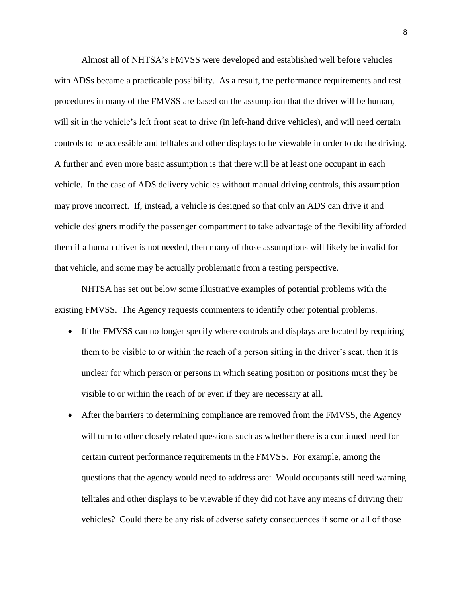Almost all of NHTSA's FMVSS were developed and established well before vehicles with ADSs became a practicable possibility. As a result, the performance requirements and test procedures in many of the FMVSS are based on the assumption that the driver will be human, will sit in the vehicle's left front seat to drive (in left-hand drive vehicles), and will need certain controls to be accessible and telltales and other displays to be viewable in order to do the driving. A further and even more basic assumption is that there will be at least one occupant in each vehicle. In the case of ADS delivery vehicles without manual driving controls, this assumption may prove incorrect. If, instead, a vehicle is designed so that only an ADS can drive it and vehicle designers modify the passenger compartment to take advantage of the flexibility afforded them if a human driver is not needed, then many of those assumptions will likely be invalid for that vehicle, and some may be actually problematic from a testing perspective.

NHTSA has set out below some illustrative examples of potential problems with the existing FMVSS. The Agency requests commenters to identify other potential problems.

- If the FMVSS can no longer specify where controls and displays are located by requiring them to be visible to or within the reach of a person sitting in the driver's seat, then it is unclear for which person or persons in which seating position or positions must they be visible to or within the reach of or even if they are necessary at all.
- After the barriers to determining compliance are removed from the FMVSS, the Agency will turn to other closely related questions such as whether there is a continued need for certain current performance requirements in the FMVSS. For example, among the questions that the agency would need to address are: Would occupants still need warning telltales and other displays to be viewable if they did not have any means of driving their vehicles? Could there be any risk of adverse safety consequences if some or all of those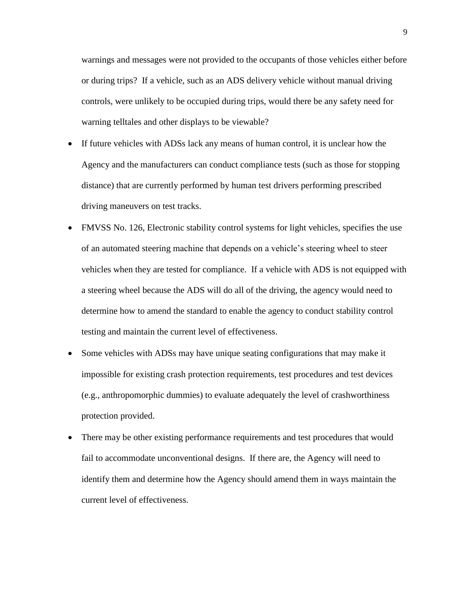warnings and messages were not provided to the occupants of those vehicles either before or during trips? If a vehicle, such as an ADS delivery vehicle without manual driving controls, were unlikely to be occupied during trips, would there be any safety need for warning telltales and other displays to be viewable?

- If future vehicles with ADSs lack any means of human control, it is unclear how the Agency and the manufacturers can conduct compliance tests (such as those for stopping distance) that are currently performed by human test drivers performing prescribed driving maneuvers on test tracks.
- FMVSS No. 126, Electronic stability control systems for light vehicles, specifies the use of an automated steering machine that depends on a vehicle's steering wheel to steer vehicles when they are tested for compliance. If a vehicle with ADS is not equipped with a steering wheel because the ADS will do all of the driving, the agency would need to determine how to amend the standard to enable the agency to conduct stability control testing and maintain the current level of effectiveness.
- Some vehicles with ADSs may have unique seating configurations that may make it impossible for existing crash protection requirements, test procedures and test devices (e.g., anthropomorphic dummies) to evaluate adequately the level of crashworthiness protection provided.
- There may be other existing performance requirements and test procedures that would fail to accommodate unconventional designs. If there are, the Agency will need to identify them and determine how the Agency should amend them in ways maintain the current level of effectiveness.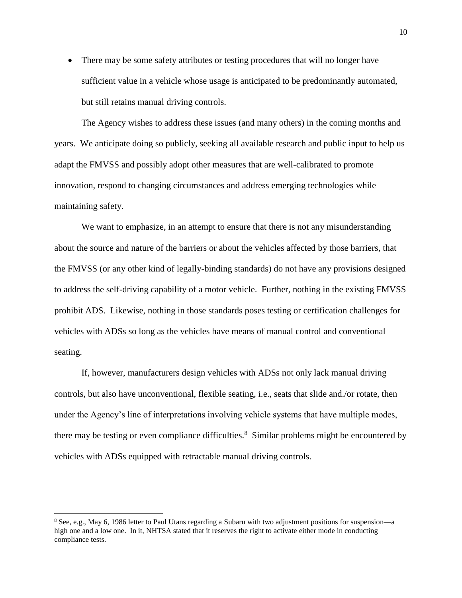• There may be some safety attributes or testing procedures that will no longer have sufficient value in a vehicle whose usage is anticipated to be predominantly automated, but still retains manual driving controls.

The Agency wishes to address these issues (and many others) in the coming months and years. We anticipate doing so publicly, seeking all available research and public input to help us adapt the FMVSS and possibly adopt other measures that are well-calibrated to promote innovation, respond to changing circumstances and address emerging technologies while maintaining safety.

We want to emphasize, in an attempt to ensure that there is not any misunderstanding about the source and nature of the barriers or about the vehicles affected by those barriers, that the FMVSS (or any other kind of legally-binding standards) do not have any provisions designed to address the self-driving capability of a motor vehicle. Further, nothing in the existing FMVSS prohibit ADS. Likewise, nothing in those standards poses testing or certification challenges for vehicles with ADSs so long as the vehicles have means of manual control and conventional seating.

If, however, manufacturers design vehicles with ADSs not only lack manual driving controls, but also have unconventional, flexible seating, i.e., seats that slide and./or rotate, then under the Agency's line of interpretations involving vehicle systems that have multiple modes, there may be testing or even compliance difficulties.<sup>8</sup> Similar problems might be encountered by vehicles with ADSs equipped with retractable manual driving controls.

<sup>8</sup> See, e.g., May 6, 1986 letter to Paul Utans regarding a Subaru with two adjustment positions for suspension—a high one and a low one. In it, NHTSA stated that it reserves the right to activate either mode in conducting compliance tests.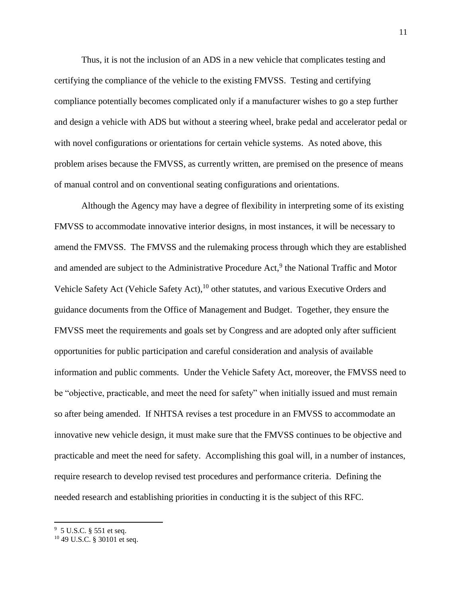Thus, it is not the inclusion of an ADS in a new vehicle that complicates testing and certifying the compliance of the vehicle to the existing FMVSS. Testing and certifying compliance potentially becomes complicated only if a manufacturer wishes to go a step further and design a vehicle with ADS but without a steering wheel, brake pedal and accelerator pedal or with novel configurations or orientations for certain vehicle systems. As noted above, this problem arises because the FMVSS, as currently written, are premised on the presence of means of manual control and on conventional seating configurations and orientations.

Although the Agency may have a degree of flexibility in interpreting some of its existing FMVSS to accommodate innovative interior designs, in most instances, it will be necessary to amend the FMVSS. The FMVSS and the rulemaking process through which they are established and amended are subject to the Administrative Procedure Act,<sup>9</sup> the National Traffic and Motor Vehicle Safety Act (Vehicle Safety Act),<sup>10</sup> other statutes, and various Executive Orders and guidance documents from the Office of Management and Budget. Together, they ensure the FMVSS meet the requirements and goals set by Congress and are adopted only after sufficient opportunities for public participation and careful consideration and analysis of available information and public comments. Under the Vehicle Safety Act, moreover, the FMVSS need to be "objective, practicable, and meet the need for safety" when initially issued and must remain so after being amended. If NHTSA revises a test procedure in an FMVSS to accommodate an innovative new vehicle design, it must make sure that the FMVSS continues to be objective and practicable and meet the need for safety. Accomplishing this goal will, in a number of instances, require research to develop revised test procedures and performance criteria. Defining the needed research and establishing priorities in conducting it is the subject of this RFC.

 9 5 U.S.C. § 551 et seq.

<sup>10</sup> 49 U.S.C. § 30101 et seq.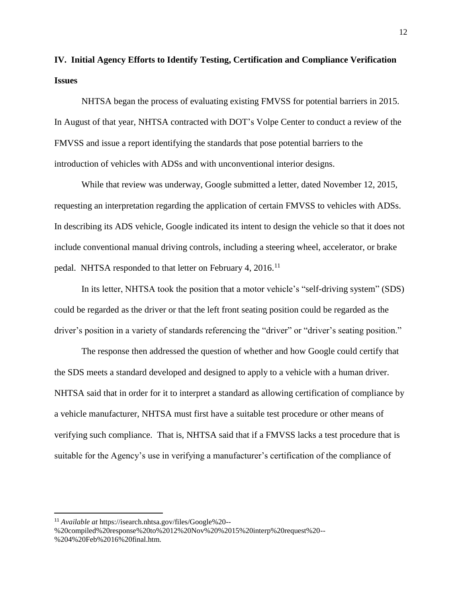**IV. Initial Agency Efforts to Identify Testing, Certification and Compliance Verification Issues**

NHTSA began the process of evaluating existing FMVSS for potential barriers in 2015. In August of that year, NHTSA contracted with DOT's Volpe Center to conduct a review of the FMVSS and issue a report identifying the standards that pose potential barriers to the introduction of vehicles with ADSs and with unconventional interior designs.

While that review was underway, Google submitted a letter, dated November 12, 2015, requesting an interpretation regarding the application of certain FMVSS to vehicles with ADSs. In describing its ADS vehicle, Google indicated its intent to design the vehicle so that it does not include conventional manual driving controls, including a steering wheel, accelerator, or brake pedal. NHTSA responded to that letter on February 4, 2016.<sup>11</sup>

In its letter, NHTSA took the position that a motor vehicle's "self-driving system" (SDS) could be regarded as the driver or that the left front seating position could be regarded as the driver's position in a variety of standards referencing the "driver" or "driver's seating position."

The response then addressed the question of whether and how Google could certify that the SDS meets a standard developed and designed to apply to a vehicle with a human driver. NHTSA said that in order for it to interpret a standard as allowing certification of compliance by a vehicle manufacturer, NHTSA must first have a suitable test procedure or other means of verifying such compliance. That is, NHTSA said that if a FMVSS lacks a test procedure that is suitable for the Agency's use in verifying a manufacturer's certification of the compliance of

<sup>11</sup> *Available at* https://isearch.nhtsa.gov/files/Google%20--

<sup>%20</sup>compiled%20response%20to%2012%20Nov%20%2015%20interp%20request%20-- %204%20Feb%2016%20final.htm.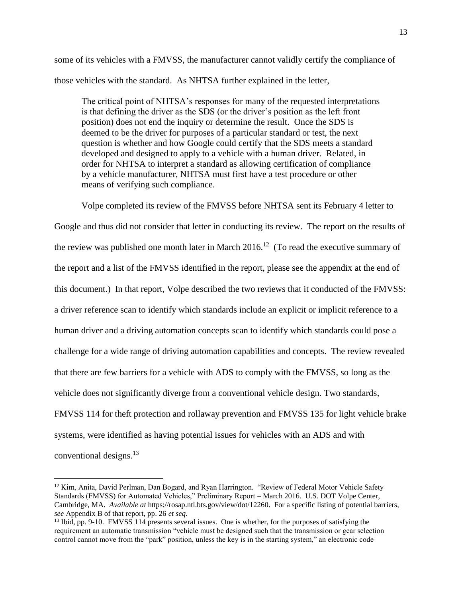some of its vehicles with a FMVSS, the manufacturer cannot validly certify the compliance of those vehicles with the standard. As NHTSA further explained in the letter,

The critical point of NHTSA's responses for many of the requested interpretations is that defining the driver as the SDS (or the driver's position as the left front position) does not end the inquiry or determine the result. Once the SDS is deemed to be the driver for purposes of a particular standard or test, the next question is whether and how Google could certify that the SDS meets a standard developed and designed to apply to a vehicle with a human driver. Related, in order for NHTSA to interpret a standard as allowing certification of compliance by a vehicle manufacturer, NHTSA must first have a test procedure or other means of verifying such compliance.

Volpe completed its review of the FMVSS before NHTSA sent its February 4 letter to Google and thus did not consider that letter in conducting its review. The report on the results of the review was published one month later in March  $2016$ <sup>12</sup> (To read the executive summary of the report and a list of the FMVSS identified in the report, please see the appendix at the end of this document.) In that report, Volpe described the two reviews that it conducted of the FMVSS: a driver reference scan to identify which standards include an explicit or implicit reference to a human driver and a driving automation concepts scan to identify which standards could pose a challenge for a wide range of driving automation capabilities and concepts. The review revealed that there are few barriers for a vehicle with ADS to comply with the FMVSS, so long as the vehicle does not significantly diverge from a conventional vehicle design. Two standards, FMVSS 114 for theft protection and rollaway prevention and FMVSS 135 for light vehicle brake systems, were identified as having potential issues for vehicles with an ADS and with conventional designs.<sup>13</sup>

<sup>&</sup>lt;sup>12</sup> Kim, Anita, David Perlman, Dan Bogard, and Ryan Harrington. "Review of Federal Motor Vehicle Safety Standards (FMVSS) for Automated Vehicles," Preliminary Report – March 2016. U.S. DOT Volpe Center, Cambridge, MA. *Available at* https://rosap.ntl.bts.gov/view/dot/12260. For a specific listing of potential barriers, *see* Appendix B of that report, pp. 26 *et seq.*

<sup>&</sup>lt;sup>13</sup> Ibid, pp. 9-10. FMVSS 114 presents several issues. One is whether, for the purposes of satisfying the requirement an automatic transmission "vehicle must be designed such that the transmission or gear selection control cannot move from the "park" position, unless the key is in the starting system," an electronic code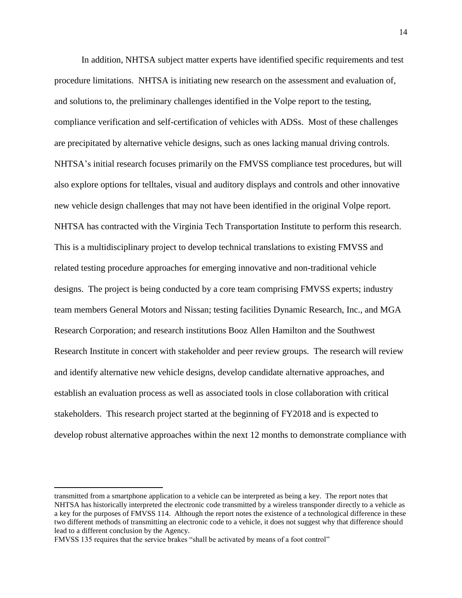In addition, NHTSA subject matter experts have identified specific requirements and test procedure limitations. NHTSA is initiating new research on the assessment and evaluation of, and solutions to, the preliminary challenges identified in the Volpe report to the testing, compliance verification and self-certification of vehicles with ADSs. Most of these challenges are precipitated by alternative vehicle designs, such as ones lacking manual driving controls. NHTSA's initial research focuses primarily on the FMVSS compliance test procedures, but will also explore options for telltales, visual and auditory displays and controls and other innovative new vehicle design challenges that may not have been identified in the original Volpe report. NHTSA has contracted with the Virginia Tech Transportation Institute to perform this research. This is a multidisciplinary project to develop technical translations to existing FMVSS and related testing procedure approaches for emerging innovative and non-traditional vehicle designs. The project is being conducted by a core team comprising FMVSS experts; industry team members General Motors and Nissan; testing facilities Dynamic Research, Inc., and MGA Research Corporation; and research institutions Booz Allen Hamilton and the Southwest Research Institute in concert with stakeholder and peer review groups. The research will review and identify alternative new vehicle designs, develop candidate alternative approaches, and establish an evaluation process as well as associated tools in close collaboration with critical stakeholders. This research project started at the beginning of FY2018 and is expected to develop robust alternative approaches within the next 12 months to demonstrate compliance with

transmitted from a smartphone application to a vehicle can be interpreted as being a key. The report notes that NHTSA has historically interpreted the electronic code transmitted by a wireless transponder directly to a vehicle as a key for the purposes of FMVSS 114. Although the report notes the existence of a technological difference in these two different methods of transmitting an electronic code to a vehicle, it does not suggest why that difference should lead to a different conclusion by the Agency.

FMVSS 135 requires that the service brakes "shall be activated by means of a foot control"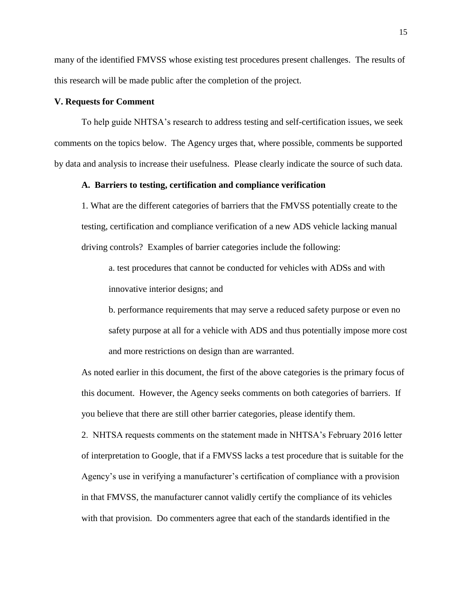many of the identified FMVSS whose existing test procedures present challenges. The results of this research will be made public after the completion of the project.

#### **V. Requests for Comment**

To help guide NHTSA's research to address testing and self-certification issues, we seek comments on the topics below. The Agency urges that, where possible, comments be supported by data and analysis to increase their usefulness. Please clearly indicate the source of such data.

#### **A. Barriers to testing, certification and compliance verification**

1. What are the different categories of barriers that the FMVSS potentially create to the testing, certification and compliance verification of a new ADS vehicle lacking manual driving controls? Examples of barrier categories include the following:

a. test procedures that cannot be conducted for vehicles with ADSs and with innovative interior designs; and

b. performance requirements that may serve a reduced safety purpose or even no safety purpose at all for a vehicle with ADS and thus potentially impose more cost and more restrictions on design than are warranted.

As noted earlier in this document, the first of the above categories is the primary focus of this document. However, the Agency seeks comments on both categories of barriers. If you believe that there are still other barrier categories, please identify them.

2. NHTSA requests comments on the statement made in NHTSA's February 2016 letter of interpretation to Google, that if a FMVSS lacks a test procedure that is suitable for the Agency's use in verifying a manufacturer's certification of compliance with a provision in that FMVSS, the manufacturer cannot validly certify the compliance of its vehicles with that provision. Do commenters agree that each of the standards identified in the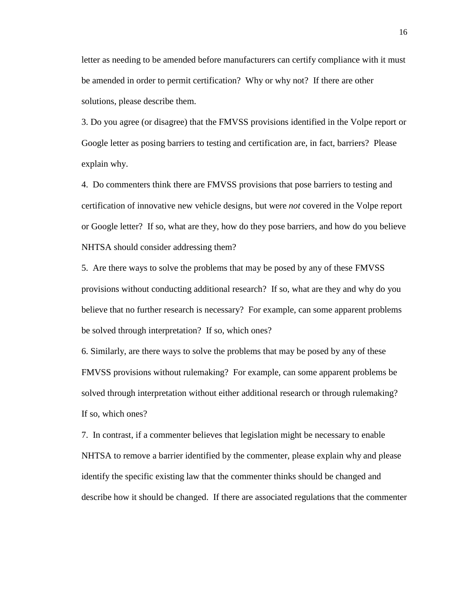letter as needing to be amended before manufacturers can certify compliance with it must be amended in order to permit certification? Why or why not? If there are other solutions, please describe them.

3. Do you agree (or disagree) that the FMVSS provisions identified in the Volpe report or Google letter as posing barriers to testing and certification are, in fact, barriers? Please explain why.

4. Do commenters think there are FMVSS provisions that pose barriers to testing and certification of innovative new vehicle designs, but were *not* covered in the Volpe report or Google letter? If so, what are they, how do they pose barriers, and how do you believe NHTSA should consider addressing them?

5. Are there ways to solve the problems that may be posed by any of these FMVSS provisions without conducting additional research? If so, what are they and why do you believe that no further research is necessary? For example, can some apparent problems be solved through interpretation? If so, which ones?

6. Similarly, are there ways to solve the problems that may be posed by any of these FMVSS provisions without rulemaking? For example, can some apparent problems be solved through interpretation without either additional research or through rulemaking? If so, which ones?

7. In contrast, if a commenter believes that legislation might be necessary to enable NHTSA to remove a barrier identified by the commenter, please explain why and please identify the specific existing law that the commenter thinks should be changed and describe how it should be changed. If there are associated regulations that the commenter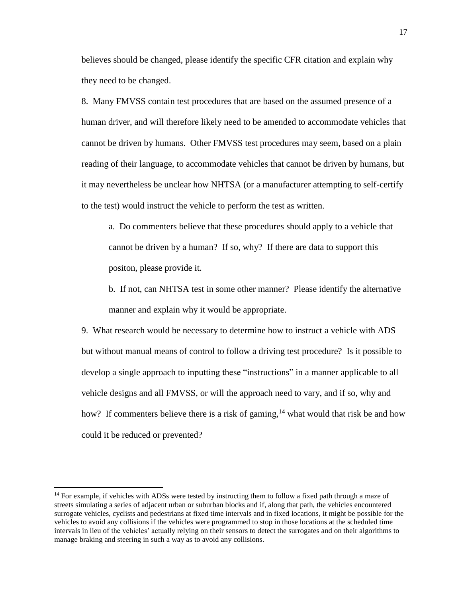believes should be changed, please identify the specific CFR citation and explain why they need to be changed.

8. Many FMVSS contain test procedures that are based on the assumed presence of a human driver, and will therefore likely need to be amended to accommodate vehicles that cannot be driven by humans. Other FMVSS test procedures may seem, based on a plain reading of their language, to accommodate vehicles that cannot be driven by humans, but it may nevertheless be unclear how NHTSA (or a manufacturer attempting to self-certify to the test) would instruct the vehicle to perform the test as written.

a. Do commenters believe that these procedures should apply to a vehicle that cannot be driven by a human? If so, why? If there are data to support this positon, please provide it.

b. If not, can NHTSA test in some other manner? Please identify the alternative manner and explain why it would be appropriate.

9. What research would be necessary to determine how to instruct a vehicle with ADS but without manual means of control to follow a driving test procedure? Is it possible to develop a single approach to inputting these "instructions" in a manner applicable to all vehicle designs and all FMVSS, or will the approach need to vary, and if so, why and how? If commenters believe there is a risk of gaming,  $14$  what would that risk be and how could it be reduced or prevented?

<sup>&</sup>lt;sup>14</sup> For example, if vehicles with ADSs were tested by instructing them to follow a fixed path through a maze of streets simulating a series of adjacent urban or suburban blocks and if, along that path, the vehicles encountered surrogate vehicles, cyclists and pedestrians at fixed time intervals and in fixed locations, it might be possible for the vehicles to avoid any collisions if the vehicles were programmed to stop in those locations at the scheduled time intervals in lieu of the vehicles' actually relying on their sensors to detect the surrogates and on their algorithms to manage braking and steering in such a way as to avoid any collisions.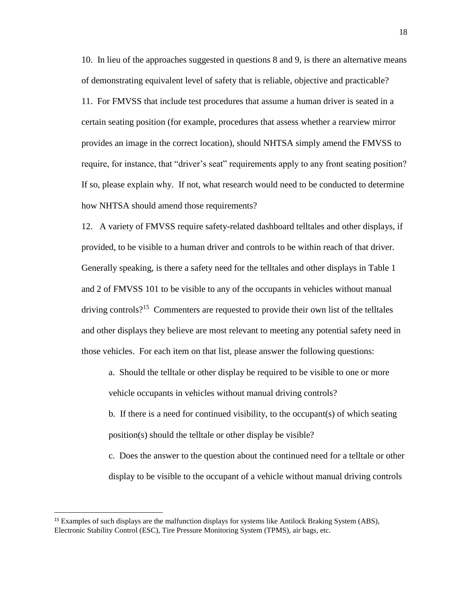10. In lieu of the approaches suggested in questions 8 and 9, is there an alternative means of demonstrating equivalent level of safety that is reliable, objective and practicable? 11. For FMVSS that include test procedures that assume a human driver is seated in a certain seating position (for example, procedures that assess whether a rearview mirror provides an image in the correct location), should NHTSA simply amend the FMVSS to require, for instance, that "driver's seat" requirements apply to any front seating position? If so, please explain why. If not, what research would need to be conducted to determine how NHTSA should amend those requirements?

12. A variety of FMVSS require safety-related dashboard telltales and other displays, if provided, to be visible to a human driver and controls to be within reach of that driver. Generally speaking, is there a safety need for the telltales and other displays in Table 1 and 2 of FMVSS 101 to be visible to any of the occupants in vehicles without manual driving controls?<sup>15</sup> Commenters are requested to provide their own list of the telltales and other displays they believe are most relevant to meeting any potential safety need in those vehicles. For each item on that list, please answer the following questions:

a. Should the telltale or other display be required to be visible to one or more vehicle occupants in vehicles without manual driving controls?

b. If there is a need for continued visibility, to the occupant(s) of which seating position(s) should the telltale or other display be visible?

c. Does the answer to the question about the continued need for a telltale or other display to be visible to the occupant of a vehicle without manual driving controls

<sup>&</sup>lt;sup>15</sup> Examples of such displays are the malfunction displays for systems like Antilock Braking System (ABS), Electronic Stability Control (ESC), Tire Pressure Monitoring System (TPMS), air bags, etc.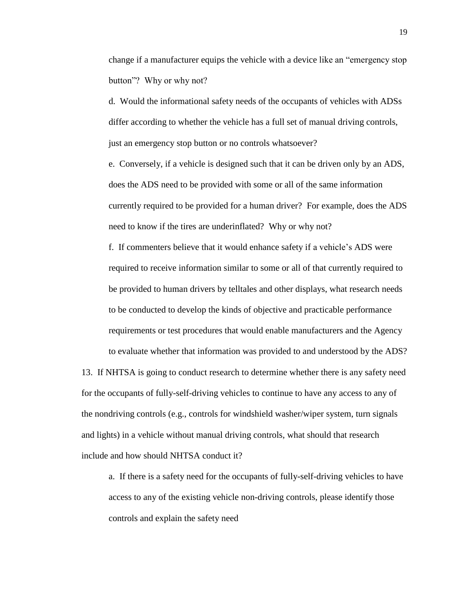change if a manufacturer equips the vehicle with a device like an "emergency stop button"? Why or why not?

d. Would the informational safety needs of the occupants of vehicles with ADSs differ according to whether the vehicle has a full set of manual driving controls, just an emergency stop button or no controls whatsoever?

e. Conversely, if a vehicle is designed such that it can be driven only by an ADS, does the ADS need to be provided with some or all of the same information currently required to be provided for a human driver? For example, does the ADS need to know if the tires are underinflated? Why or why not?

f. If commenters believe that it would enhance safety if a vehicle's ADS were required to receive information similar to some or all of that currently required to be provided to human drivers by telltales and other displays, what research needs to be conducted to develop the kinds of objective and practicable performance requirements or test procedures that would enable manufacturers and the Agency to evaluate whether that information was provided to and understood by the ADS?

13. If NHTSA is going to conduct research to determine whether there is any safety need for the occupants of fully-self-driving vehicles to continue to have any access to any of the nondriving controls (e.g., controls for windshield washer/wiper system, turn signals and lights) in a vehicle without manual driving controls, what should that research include and how should NHTSA conduct it?

a. If there is a safety need for the occupants of fully-self-driving vehicles to have access to any of the existing vehicle non-driving controls, please identify those controls and explain the safety need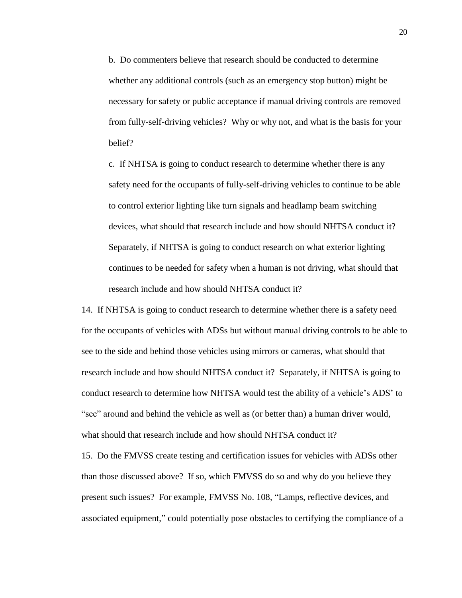b. Do commenters believe that research should be conducted to determine whether any additional controls (such as an emergency stop button) might be necessary for safety or public acceptance if manual driving controls are removed from fully-self-driving vehicles? Why or why not, and what is the basis for your belief?

c. If NHTSA is going to conduct research to determine whether there is any safety need for the occupants of fully-self-driving vehicles to continue to be able to control exterior lighting like turn signals and headlamp beam switching devices, what should that research include and how should NHTSA conduct it? Separately, if NHTSA is going to conduct research on what exterior lighting continues to be needed for safety when a human is not driving, what should that research include and how should NHTSA conduct it?

14. If NHTSA is going to conduct research to determine whether there is a safety need for the occupants of vehicles with ADSs but without manual driving controls to be able to see to the side and behind those vehicles using mirrors or cameras, what should that research include and how should NHTSA conduct it? Separately, if NHTSA is going to conduct research to determine how NHTSA would test the ability of a vehicle's ADS' to "see" around and behind the vehicle as well as (or better than) a human driver would, what should that research include and how should NHTSA conduct it?

15. Do the FMVSS create testing and certification issues for vehicles with ADSs other than those discussed above? If so, which FMVSS do so and why do you believe they present such issues? For example, FMVSS No. 108, "Lamps, reflective devices, and associated equipment," could potentially pose obstacles to certifying the compliance of a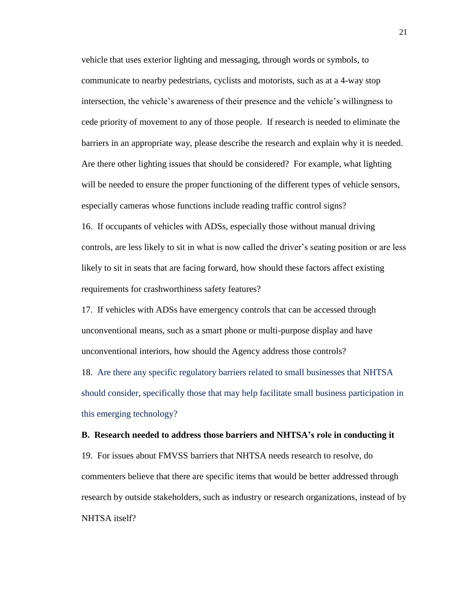vehicle that uses exterior lighting and messaging, through words or symbols, to communicate to nearby pedestrians, cyclists and motorists, such as at a 4-way stop intersection, the vehicle's awareness of their presence and the vehicle's willingness to cede priority of movement to any of those people. If research is needed to eliminate the barriers in an appropriate way, please describe the research and explain why it is needed. Are there other lighting issues that should be considered? For example, what lighting will be needed to ensure the proper functioning of the different types of vehicle sensors, especially cameras whose functions include reading traffic control signs?

16. If occupants of vehicles with ADSs, especially those without manual driving controls, are less likely to sit in what is now called the driver's seating position or are less likely to sit in seats that are facing forward, how should these factors affect existing requirements for crashworthiness safety features?

17. If vehicles with ADSs have emergency controls that can be accessed through unconventional means, such as a smart phone or multi-purpose display and have unconventional interiors, how should the Agency address those controls?

18. Are there any specific regulatory barriers related to small businesses that NHTSA should consider, specifically those that may help facilitate small business participation in this emerging technology?

#### **B. Research needed to address those barriers and NHTSA's role in conducting it**

19. For issues about FMVSS barriers that NHTSA needs research to resolve, do commenters believe that there are specific items that would be better addressed through research by outside stakeholders, such as industry or research organizations, instead of by NHTSA itself?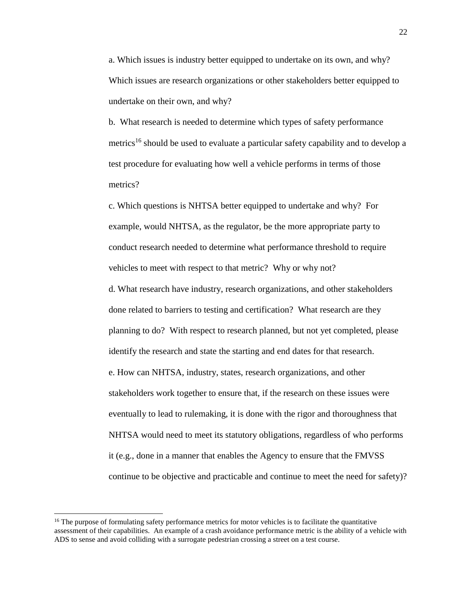a. Which issues is industry better equipped to undertake on its own, and why? Which issues are research organizations or other stakeholders better equipped to undertake on their own, and why?

b. What research is needed to determine which types of safety performance metrics<sup>16</sup> should be used to evaluate a particular safety capability and to develop a test procedure for evaluating how well a vehicle performs in terms of those metrics?

c. Which questions is NHTSA better equipped to undertake and why? For example, would NHTSA, as the regulator, be the more appropriate party to conduct research needed to determine what performance threshold to require vehicles to meet with respect to that metric? Why or why not?

d. What research have industry, research organizations, and other stakeholders done related to barriers to testing and certification? What research are they planning to do? With respect to research planned, but not yet completed, please identify the research and state the starting and end dates for that research. e. How can NHTSA, industry, states, research organizations, and other stakeholders work together to ensure that, if the research on these issues were eventually to lead to rulemaking, it is done with the rigor and thoroughness that NHTSA would need to meet its statutory obligations, regardless of who performs it (e.g., done in a manner that enables the Agency to ensure that the FMVSS continue to be objective and practicable and continue to meet the need for safety)?

<sup>&</sup>lt;sup>16</sup> The purpose of formulating safety performance metrics for motor vehicles is to facilitate the quantitative assessment of their capabilities. An example of a crash avoidance performance metric is the ability of a vehicle with ADS to sense and avoid colliding with a surrogate pedestrian crossing a street on a test course.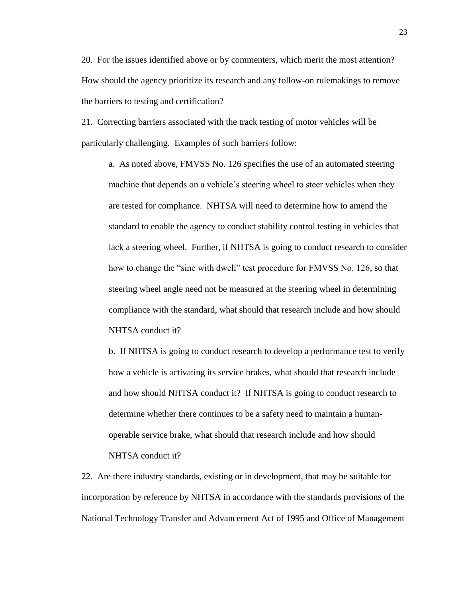20. For the issues identified above or by commenters, which merit the most attention? How should the agency prioritize its research and any follow-on rulemakings to remove the barriers to testing and certification?

21. Correcting barriers associated with the track testing of motor vehicles will be particularly challenging. Examples of such barriers follow:

a. As noted above, FMVSS No. 126 specifies the use of an automated steering machine that depends on a vehicle's steering wheel to steer vehicles when they are tested for compliance. NHTSA will need to determine how to amend the standard to enable the agency to conduct stability control testing in vehicles that lack a steering wheel. Further, if NHTSA is going to conduct research to consider how to change the "sine with dwell" test procedure for FMVSS No. 126, so that steering wheel angle need not be measured at the steering wheel in determining compliance with the standard, what should that research include and how should NHTSA conduct it?

b. If NHTSA is going to conduct research to develop a performance test to verify how a vehicle is activating its service brakes, what should that research include and how should NHTSA conduct it? If NHTSA is going to conduct research to determine whether there continues to be a safety need to maintain a humanoperable service brake, what should that research include and how should NHTSA conduct it?

22. Are there industry standards, existing or in development, that may be suitable for incorporation by reference by NHTSA in accordance with the standards provisions of the National Technology Transfer and Advancement Act of 1995 and Office of Management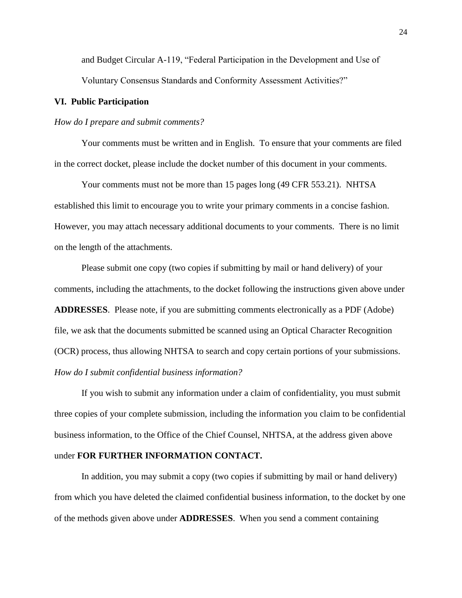and Budget Circular A-119, "Federal Participation in the Development and Use of Voluntary Consensus Standards and Conformity Assessment Activities?"

#### **VI. Public Participation**

#### *How do I prepare and submit comments?*

Your comments must be written and in English. To ensure that your comments are filed in the correct docket, please include the docket number of this document in your comments.

Your comments must not be more than 15 pages long (49 CFR 553.21). NHTSA established this limit to encourage you to write your primary comments in a concise fashion. However, you may attach necessary additional documents to your comments. There is no limit on the length of the attachments.

Please submit one copy (two copies if submitting by mail or hand delivery) of your comments, including the attachments, to the docket following the instructions given above under **ADDRESSES**. Please note, if you are submitting comments electronically as a PDF (Adobe) file, we ask that the documents submitted be scanned using an Optical Character Recognition (OCR) process, thus allowing NHTSA to search and copy certain portions of your submissions. *How do I submit confidential business information?*

If you wish to submit any information under a claim of confidentiality, you must submit three copies of your complete submission, including the information you claim to be confidential business information, to the Office of the Chief Counsel, NHTSA, at the address given above under **FOR FURTHER INFORMATION CONTACT.**

In addition, you may submit a copy (two copies if submitting by mail or hand delivery) from which you have deleted the claimed confidential business information, to the docket by one of the methods given above under **ADDRESSES**. When you send a comment containing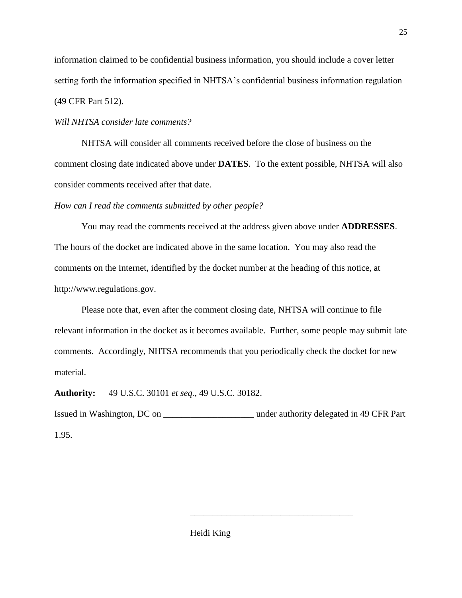information claimed to be confidential business information, you should include a cover letter setting forth the information specified in NHTSA's confidential business information regulation (49 CFR Part 512).

## *Will NHTSA consider late comments?*

NHTSA will consider all comments received before the close of business on the comment closing date indicated above under **DATES**. To the extent possible, NHTSA will also consider comments received after that date.

## *How can I read the comments submitted by other people?*

You may read the comments received at the address given above under **ADDRESSES**. The hours of the docket are indicated above in the same location. You may also read the comments on the Internet, identified by the docket number at the heading of this notice, at http://www.regulations.gov.

Please note that, even after the comment closing date, NHTSA will continue to file relevant information in the docket as it becomes available. Further, some people may submit late comments. Accordingly, NHTSA recommends that you periodically check the docket for new material.

**Authority:** 49 U.S.C. 30101 *et seq.*, 49 U.S.C. 30182.

Issued in Washington, DC on \_\_\_\_\_\_\_\_\_\_\_\_\_\_\_\_\_\_\_\_ under authority delegated in 49 CFR Part 1.95.

\_\_\_\_\_\_\_\_\_\_\_\_\_\_\_\_\_\_\_\_\_\_\_\_\_\_\_\_\_\_\_\_\_\_\_\_

Heidi King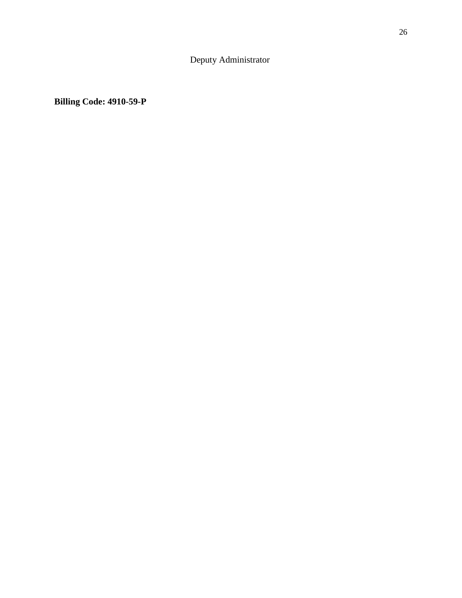## Deputy Administrator

**Billing Code: 4910-59-P**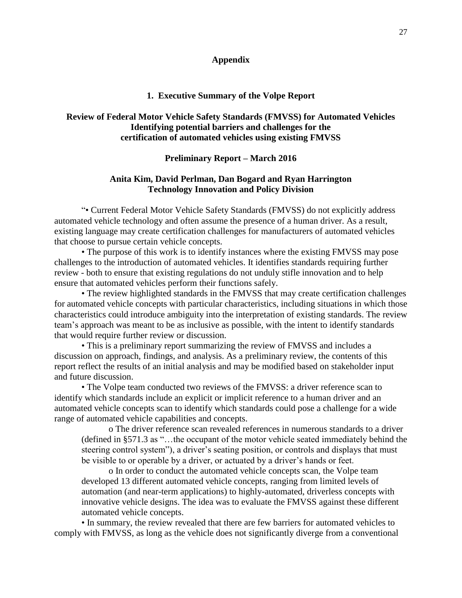#### **Appendix**

#### **1. Executive Summary of the Volpe Report**

## **Review of Federal Motor Vehicle Safety Standards (FMVSS) for Automated Vehicles Identifying potential barriers and challenges for the certification of automated vehicles using existing FMVSS**

#### **Preliminary Report – March 2016**

#### **Anita Kim, David Perlman, Dan Bogard and Ryan Harrington Technology Innovation and Policy Division**

"• Current Federal Motor Vehicle Safety Standards (FMVSS) do not explicitly address automated vehicle technology and often assume the presence of a human driver. As a result, existing language may create certification challenges for manufacturers of automated vehicles that choose to pursue certain vehicle concepts.

• The purpose of this work is to identify instances where the existing FMVSS may pose challenges to the introduction of automated vehicles. It identifies standards requiring further review - both to ensure that existing regulations do not unduly stifle innovation and to help ensure that automated vehicles perform their functions safely.

• The review highlighted standards in the FMVSS that may create certification challenges for automated vehicle concepts with particular characteristics, including situations in which those characteristics could introduce ambiguity into the interpretation of existing standards. The review team's approach was meant to be as inclusive as possible, with the intent to identify standards that would require further review or discussion.

• This is a preliminary report summarizing the review of FMVSS and includes a discussion on approach, findings, and analysis. As a preliminary review, the contents of this report reflect the results of an initial analysis and may be modified based on stakeholder input and future discussion.

• The Volpe team conducted two reviews of the FMVSS: a driver reference scan to identify which standards include an explicit or implicit reference to a human driver and an automated vehicle concepts scan to identify which standards could pose a challenge for a wide range of automated vehicle capabilities and concepts.

o The driver reference scan revealed references in numerous standards to a driver (defined in §571.3 as "…the occupant of the motor vehicle seated immediately behind the steering control system"), a driver's seating position, or controls and displays that must be visible to or operable by a driver, or actuated by a driver's hands or feet.

o In order to conduct the automated vehicle concepts scan, the Volpe team developed 13 different automated vehicle concepts, ranging from limited levels of automation (and near-term applications) to highly-automated, driverless concepts with innovative vehicle designs. The idea was to evaluate the FMVSS against these different automated vehicle concepts.

• In summary, the review revealed that there are few barriers for automated vehicles to comply with FMVSS, as long as the vehicle does not significantly diverge from a conventional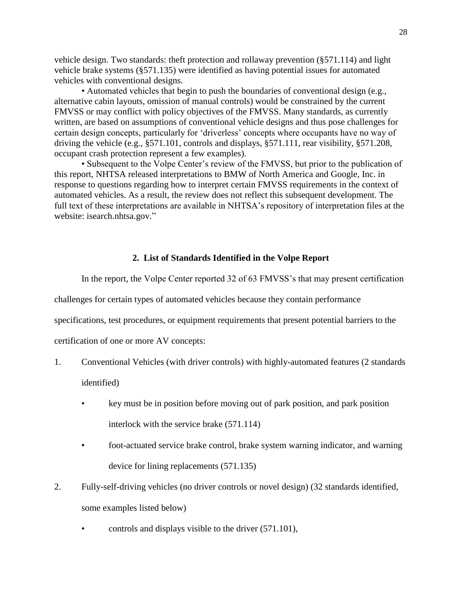vehicle design. Two standards: theft protection and rollaway prevention (§571.114) and light vehicle brake systems (§571.135) were identified as having potential issues for automated vehicles with conventional designs.

• Automated vehicles that begin to push the boundaries of conventional design (e.g., alternative cabin layouts, omission of manual controls) would be constrained by the current FMVSS or may conflict with policy objectives of the FMVSS. Many standards, as currently written, are based on assumptions of conventional vehicle designs and thus pose challenges for certain design concepts, particularly for 'driverless' concepts where occupants have no way of driving the vehicle (e.g., §571.101, controls and displays, §571.111, rear visibility, §571.208, occupant crash protection represent a few examples).

• Subsequent to the Volpe Center's review of the FMVSS, but prior to the publication of this report, NHTSA released interpretations to BMW of North America and Google, Inc. in response to questions regarding how to interpret certain FMVSS requirements in the context of automated vehicles. As a result, the review does not reflect this subsequent development. The full text of these interpretations are available in NHTSA's repository of interpretation files at the website: isearch.nhtsa.gov."

#### **2. List of Standards Identified in the Volpe Report**

In the report, the Volpe Center reported 32 of 63 FMVSS's that may present certification

challenges for certain types of automated vehicles because they contain performance

specifications, test procedures, or equipment requirements that present potential barriers to the

certification of one or more AV concepts:

- 1. Conventional Vehicles (with driver controls) with highly-automated features (2 standards identified)
	- key must be in position before moving out of park position, and park position interlock with the service brake (571.114)
	- foot-actuated service brake control, brake system warning indicator, and warning device for lining replacements (571.135)
- 2. Fully-self-driving vehicles (no driver controls or novel design) (32 standards identified, some examples listed below)
	- controls and displays visible to the driver (571.101),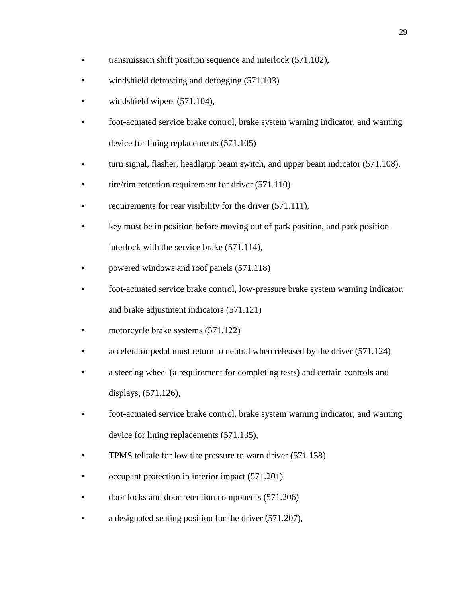- transmission shift position sequence and interlock (571.102),
- windshield defrosting and defogging (571.103)
- windshield wipers  $(571.104)$ ,
- foot-actuated service brake control, brake system warning indicator, and warning device for lining replacements (571.105)
- turn signal, flasher, headlamp beam switch, and upper beam indicator (571.108),
- tire/rim retention requirement for driver  $(571.110)$
- requirements for rear visibility for the driver (571.111),
- key must be in position before moving out of park position, and park position interlock with the service brake (571.114),
- powered windows and roof panels (571.118)
- foot-actuated service brake control, low-pressure brake system warning indicator, and brake adjustment indicators (571.121)
- motorcycle brake systems  $(571.122)$
- accelerator pedal must return to neutral when released by the driver (571.124)
- a steering wheel (a requirement for completing tests) and certain controls and displays, (571.126),
- foot-actuated service brake control, brake system warning indicator, and warning device for lining replacements (571.135),
- TPMS telltale for low tire pressure to warn driver (571.138)
- occupant protection in interior impact (571.201)
- door locks and door retention components (571.206)
- a designated seating position for the driver (571.207),